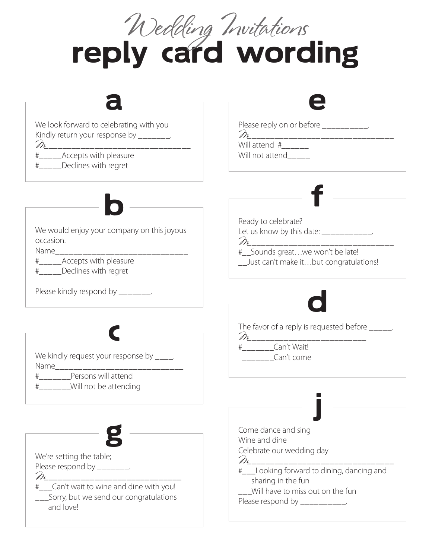